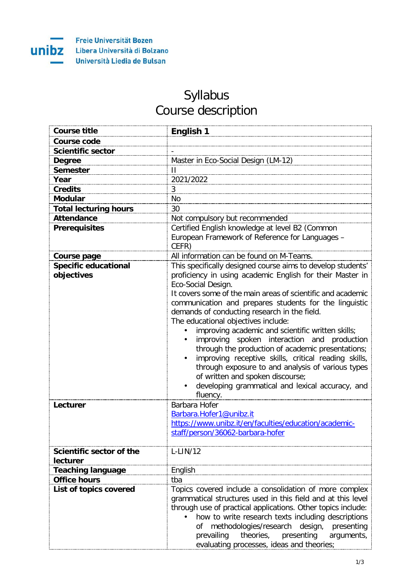

## Syllabus Course description

| <b>Course title</b>                         | English 1                                                                                                                                                                                                                                                                                                                                                                                                                                                                                                                                                                                                                                                                                                                                             |
|---------------------------------------------|-------------------------------------------------------------------------------------------------------------------------------------------------------------------------------------------------------------------------------------------------------------------------------------------------------------------------------------------------------------------------------------------------------------------------------------------------------------------------------------------------------------------------------------------------------------------------------------------------------------------------------------------------------------------------------------------------------------------------------------------------------|
| <b>Course code</b>                          |                                                                                                                                                                                                                                                                                                                                                                                                                                                                                                                                                                                                                                                                                                                                                       |
| <b>Scientific sector</b>                    |                                                                                                                                                                                                                                                                                                                                                                                                                                                                                                                                                                                                                                                                                                                                                       |
| <b>Degree</b>                               | Master in Eco-Social Design (LM-12)                                                                                                                                                                                                                                                                                                                                                                                                                                                                                                                                                                                                                                                                                                                   |
| <b>Semester</b>                             | $\mathbf{I}$                                                                                                                                                                                                                                                                                                                                                                                                                                                                                                                                                                                                                                                                                                                                          |
| Year                                        | 2021/2022                                                                                                                                                                                                                                                                                                                                                                                                                                                                                                                                                                                                                                                                                                                                             |
| <b>Credits</b>                              | 3                                                                                                                                                                                                                                                                                                                                                                                                                                                                                                                                                                                                                                                                                                                                                     |
| <b>Modular</b>                              | <b>No</b>                                                                                                                                                                                                                                                                                                                                                                                                                                                                                                                                                                                                                                                                                                                                             |
| <b>Total lecturing hours</b>                | 30                                                                                                                                                                                                                                                                                                                                                                                                                                                                                                                                                                                                                                                                                                                                                    |
| <b>Attendance</b>                           | Not compulsory but recommended                                                                                                                                                                                                                                                                                                                                                                                                                                                                                                                                                                                                                                                                                                                        |
| <b>Prerequisites</b>                        | Certified English knowledge at level B2 (Common                                                                                                                                                                                                                                                                                                                                                                                                                                                                                                                                                                                                                                                                                                       |
|                                             | European Framework of Reference for Languages -<br>CEFR)                                                                                                                                                                                                                                                                                                                                                                                                                                                                                                                                                                                                                                                                                              |
| Course page                                 | All information can be found on M-Teams.                                                                                                                                                                                                                                                                                                                                                                                                                                                                                                                                                                                                                                                                                                              |
| <b>Specific educational</b><br>objectives   | This specifically designed course aims to develop students'<br>proficiency in using academic English for their Master in<br>Eco-Social Design.<br>It covers some of the main areas of scientific and academic<br>communication and prepares students for the linguistic<br>demands of conducting research in the field.<br>The educational objectives include:<br>improving academic and scientific written skills;<br>improving spoken interaction and production<br>through the production of academic presentations;<br>improving receptive skills, critical reading skills,<br>through exposure to and analysis of various types<br>of written and spoken discourse;<br>developing grammatical and lexical accuracy, and<br>$\bullet$<br>fluency. |
| Lecturer                                    | Barbara Hofer<br>Barbara.Hofer1@unibz.it<br>https://www.unibz.it/en/faculties/education/academic-<br>staff/person/36062-barbara-hofer                                                                                                                                                                                                                                                                                                                                                                                                                                                                                                                                                                                                                 |
| Scientific sector of the<br><b>lecturer</b> | $L-LIN/12$                                                                                                                                                                                                                                                                                                                                                                                                                                                                                                                                                                                                                                                                                                                                            |
| <b>Teaching language</b>                    | English                                                                                                                                                                                                                                                                                                                                                                                                                                                                                                                                                                                                                                                                                                                                               |
| <b>Office hours</b>                         | tba                                                                                                                                                                                                                                                                                                                                                                                                                                                                                                                                                                                                                                                                                                                                                   |
| List of topics covered                      | Topics covered include a consolidation of more complex<br>grammatical structures used in this field and at this level<br>through use of practical applications. Other topics include:<br>how to write research texts including descriptions<br>methodologies/research design,<br>presenting<br>οf<br>theories, presenting<br>arguments,<br>prevailing<br>evaluating processes, ideas and theories;                                                                                                                                                                                                                                                                                                                                                    |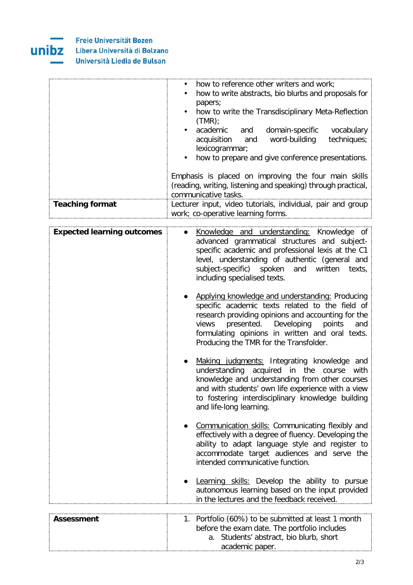

unibz

Libera Università di Bolzano

Università Liedia de Bulsan

|                        | how to reference other writers and work;<br>how to write abstracts, bio blurbs and proposals for<br>papers;<br>how to write the Transdisciplinary Meta-Reflection<br>$\bullet$<br>(TMR)<br>academic and domain-specific vocabulary |
|------------------------|------------------------------------------------------------------------------------------------------------------------------------------------------------------------------------------------------------------------------------|
|                        | acquisition and word-building techniques;<br>lexicogrammar;<br>how to prepare and give conference presentations.<br>$\bullet$                                                                                                      |
|                        | Emphasis is placed on improving the four main skills<br>(reading, writing, listening and speaking) through practical,<br>communicative tasks.                                                                                      |
| <b>Teaching format</b> | Lecturer input, video tutorials, individual, pair and group<br>work; co-operative learning forms.                                                                                                                                  |

| <b>Expected learning outcomes</b> | Knowledge and understanding: Knowledge of<br>advanced grammatical structures and subject-<br>specific academic and professional lexis at the C1<br>level, understanding of authentic (general and<br>subject-specific) spoken and<br>written<br>texts,<br>including specialised texts.                      |
|-----------------------------------|-------------------------------------------------------------------------------------------------------------------------------------------------------------------------------------------------------------------------------------------------------------------------------------------------------------|
|                                   | Applying knowledge and understanding: Producing<br>specific academic texts related to the field of<br>research providing opinions and accounting for the<br>presented.<br>Developing<br>points<br>views<br>and<br>formulating opinions in written and oral texts.<br>Producing the TMR for the Transfolder. |
|                                   | Making judgments: Integrating knowledge and<br>understanding acquired in the course with<br>knowledge and understanding from other courses<br>and with students' own life experience with a view<br>to fostering interdisciplinary knowledge building<br>and life-long learning.                            |
|                                   | Communication skills: Communicating flexibly and<br>effectively with a degree of fluency. Developing the<br>ability to adapt language style and register to<br>accommodate target audiences and serve the<br>intended communicative function.                                                               |
|                                   | Learning skills: Develop the ability to pursue<br>autonomous learning based on the input provided<br>in the lectures and the feedback received.                                                                                                                                                             |
|                                   |                                                                                                                                                                                                                                                                                                             |
| <b>Assessment</b>                 | Portfolio (60%) to be submitted at least 1 month<br>1.<br>before the exam date. The portfolio includes                                                                                                                                                                                                      |

a. Students' abstract, bio blurb, short

academic paper.